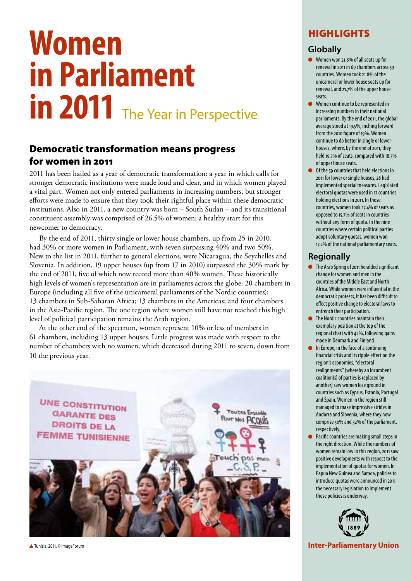# **Women in Parliament**  in 2011 The Year in Perspective

## Democratic transformation means progress for women in 2011

2011 has been hailed as a year of democratic transformation: a year in which calls for stronger democratic institutions were made loud and clear, and in which women played a vital part. Women not only entered parliaments in increasing numbers, but stronger efforts were made to ensure that they took their rightful place within these democratic institutions. Also in 2011, a new country was born – South Sudan – and its transitional constituent assembly was comprised of 26.5% of women; a healthy start for this newcomer to democracy.

By the end of 2011, thirty single or lower house chambers, up from 25 in 2010, had 30% or more women in Parliament, with seven surpassing 40% and two 50%. New to the list in 2011, further to general elections, were Nicaragua, the Seychelles and Slovenia. In addition, 19 upper houses (up from 17 in 2010) surpassed the 30% mark by the end of 2011, five of which now record more than 40% women. These historically high levels of women's representation are in parliaments across the globe: 20 chambers in Europe (including all five of the unicameral parliaments of the Nordic countries); 13 chambers in Sub-Saharan Africa; 13 chambers in the Americas; and four chambers in the Asia-Pacific region. The one region where women still have not reached this high level of political participation remains the Arab region.

At the other end of the spectrum, women represent 10% or less of members in 61 chambers, including 13 upper houses. Little progress was made with respect to the number of chambers with no women, which decreased during 2011 to seven, down from 10 the previous year.



#### Tunisia, 2011. © ImageForum

## **HIGHLIGHTS**

#### **Globally**

- Women won 21.8% of all seats up for renewal in 2011 in 69 chambers across 59 countries. Women took 21.8% of the unicameral or lower house seats up for renewal, and 21.7% of the upper house seats.
- Women continue to be represented in increasing numbers in their national parliaments. By the end of 2011, the global average stood at 19.5%, inching forward from the 2010 figure of 19%. Women continue to do better in single or lower houses, where, by the end of 2011, they held 19.7% of seats, compared with 18.7% of upper house seats.
- Of the 59 countries that held elections in 2011 for lower or single houses, 26 had implemented special measures. Legislated electoral quotas were used in 17 countries holding elections in 2011. In those countries, women took 27.4% of seats as opposed to 15.7% of seats in countries without any form of quota. In the nine countries where certain political parties adopt voluntary quotas, women won 17.2% of the national parliamentary seats.

#### **Regionally**

- The Arab Spring of 2011 heralded significant change for women and men in the countries of the Middle East and North Africa. While women were influential in the democratic protests, it has been difficult to effect positive change to electoral laws to entrench their participation.
- **•** The Nordic countries maintain their exemplary position at the top of the regional chart with 42%, following gains made in Denmark and Finland.
- In Europe, in the face of a continuing financial crisis and its ripple effect on the region's economies, "electoral realignments" (whereby an incumbent coalition(s) of parties is replaced by another) saw women lose ground in countries such as Cyprus, Estonia, Portugal and Spain. Women in the region still managed to make impressive strides in Andorra and Slovenia, where they now comprise 50% and 32% of the parliament, respectively.
- Pacific countries are making small steps in the right direction. While the numbers of women remain low in this region, 2011 saw positive developments with respect to the implementation of quotas for women. In Papua New Guinea and Samoa, policies to introduce quotas were announced in 2011; the necessary legislation to implement these policies is underway.



**Inter-Parliamentary Union**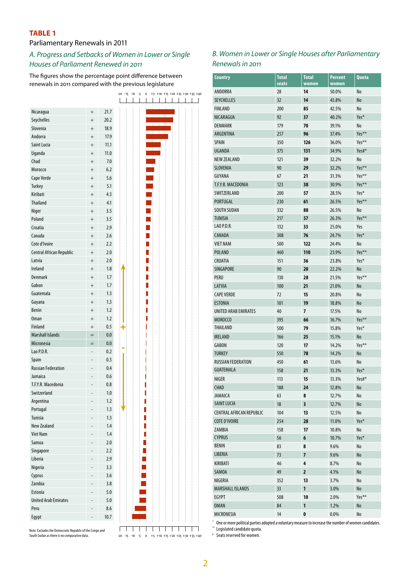#### **TABLE 1**

## Parliamentary Renewals in 2011

## *A. Progress and Setbacks of Women in Lower or Single Houses of Parliament Renewed in 2011*

The figures show the percentage point difference between renewals in 2011 compared with the previous legislature

| Nicaragua                   | $^{+}$ | 21.7    |
|-----------------------------|--------|---------|
| Seychelles                  | $^{+}$ | 20.2    |
| Slovenia                    | $^{+}$ | 18.9    |
| Andorra                     | $^{+}$ | 17.9    |
| Saint Lucia                 | $^{+}$ | 11.1    |
|                             |        |         |
| Uganda                      | $^{+}$ | 11.0    |
| Chad                        | $^{+}$ | 7.0     |
| Morocco                     | $^{+}$ | 6.2     |
| Cape Verde                  | $^{+}$ | 5.6     |
| Turkey                      | $^{+}$ | 5.1     |
| Kiribati                    | $^{+}$ | 4.3     |
| <b>Thailand</b>             | $^{+}$ | 4.1     |
| Niger                       | $^{+}$ | 3.5     |
| Poland                      | $^{+}$ | 3.5     |
| Croatia                     | $^{+}$ | 2.9     |
| Canada                      |        |         |
|                             | $^{+}$ | 2.6     |
| Cote d'Ivoire               | $^{+}$ | 2.2     |
| Central African Republic    | $^{+}$ | 2.0     |
| Latvia                      | $^{+}$ | 2.0     |
| Ireland                     | $^{+}$ | 1.8     |
| <b>Denmark</b>              | $^{+}$ | 1.7     |
| Gabon                       | $^{+}$ | 1.7     |
| Guatemala                   | $^{+}$ | 1.3     |
| Guyana                      | $^{+}$ | 1.3     |
| Benin                       | $^{+}$ | 1.2     |
|                             |        |         |
| <b>Oman</b>                 | $^{+}$ | 1.2     |
| <b>Finland</b>              | $^{+}$ | 0.5     |
| <b>Marshall Islands</b>     | $=$    | 0.0     |
| Micronesia                  | $=$    | 0.0     |
| Lao P.D.R.                  |        | 0.2     |
| Spain                       |        | 0.3     |
| <b>Russian Federation</b>   |        | 0.4     |
| Jamaica                     |        | 0.6     |
| T.F.Y.R. Macedonia          |        |         |
|                             |        | 0.8     |
| Switzerland                 |        | 1.0     |
| Argentina                   |        | 1.2     |
| Portugal                    |        | 1.3     |
| <b>Tunisia</b>              |        | 1.3     |
| <b>New Zealand</b>          |        | 1.4     |
| <b>Viet Nam</b>             |        | 1.4     |
| Samoa                       |        | $2.0\,$ |
| Singapore                   |        | 2.2     |
| Liberia                     |        | 2.9     |
| Nigeria                     |        | 3.3     |
|                             |        |         |
| Cyprus                      |        | 3.6     |
|                             |        | 3.8     |
| Zambia                      |        |         |
| Estonia                     |        | 5.0     |
| <b>United Arab Emirates</b> |        | 5.0     |
| Peru                        |        | 8.6     |
| Egypt                       |        | 10.7    |

South Sudan as there is no comparative data.  $-20 -15 -10 -5 = 0 +5 +10 +15 +20 +25 +30 +35 +40$ Note: Excludes the Democratic Republic of the Congo and

## *B. Women in Lower or Single Houses after Parliamentary Renewals in 2011*

| <b>Country</b>                  | Total<br>seats | <b>Total</b><br>women | <b>Percent</b><br>women | Quota |
|---------------------------------|----------------|-----------------------|-------------------------|-------|
| ANDORRA                         | 28             | 14                    | 50.0%                   | No    |
| <b>SEYCHELLES</b>               | 32             | 14                    | 43.8%                   | No    |
| <b>FINLAND</b>                  | 200            | 85                    | 42.5%                   | No    |
| NICARAGUA                       | 92             | 37                    | 40.2%                   | Yes*  |
| <b>DENMARK</b>                  | 179            | 70                    | 39.1%                   | No    |
| ARGENTINA                       | 257            | 96                    | 37.4%                   | Yes** |
| <b>SPAIN</b>                    | 350            | 126                   | 36.0%                   | Yes** |
| <b>UGANDA</b>                   | 375            | 131                   | 34.9%                   | Yes#* |
| <b>NEW ZEALAND</b>              | 121            | 39                    | 32.2%                   | No    |
| <b>SLOVENIA</b>                 | 90             | 29                    | 32.2%                   | Yes** |
| <b>GUYANA</b>                   | 67             | 21                    | 31.3%                   | Yes** |
| T.F.Y.R. MACEDONIA              | 123            | 38                    | 30.9%                   | Yes** |
| SWITZERLAND                     | 200            | 57                    | 28.5%                   | Yes*  |
| PORTUGAL                        | 230            | 61                    | 26.5%                   | Yes** |
| <b>SOUTH SUDAN</b>              | 332            | 88                    | 26.5%                   | No    |
| <b>TUNISIA</b>                  | 217            | 57                    | 26.3%                   | Yes** |
| LAO P.D.R.                      | 132            | 33                    | 25.0%                   | Yes   |
| <b>CANADA</b>                   | 308            | 76                    | 24.7%                   | Yes*  |
| <b>VIET NAM</b>                 | 500            | 122                   | 24.4%                   | No    |
| <b>POLAND</b>                   | 460            | 110                   | 23.9%                   | Yes** |
| <b>CROATIA</b>                  | 151            | 36                    | 23.8%                   | Yes*  |
| <b>SINGAPORE</b>                | 90             | 20                    | 22.2%                   | No    |
| PERU                            | 130            | 28                    | 21.5%                   | Yes** |
| LATVIA                          | 100            | 21                    | 21.0%                   | No    |
| <b>CAPE VERDE</b>               | 72             | 15                    | 20.8%                   | No    |
| <b>ESTONIA</b>                  | 101            | 19                    | 18.8%                   | No    |
| UNITED ARAB EMIRATES            | 40             | 7                     | 17.5%                   | No    |
| <b>MOROCCO</b>                  | 395            | 66                    | 16.7%                   | Yes** |
| THAILAND                        | 500            | 79                    | 15.8%                   | Yes*  |
| <b>IRELAND</b>                  | 166            | 25                    | 15.1%                   | No    |
| <b>GABON</b>                    | 120            | 17                    | 14.2%                   | Yes** |
| <b>TURKEY</b>                   | 550            | 78                    | 14.2%                   | No    |
| <b>RUSSIAN FEDERATION</b>       | 450            | 61                    | 13.6%                   | No    |
| <b>GUATEMALA</b>                | 158            | 21                    | 13.3%                   | Yes*  |
| <b>NIGER</b>                    | 113            | 15                    | 13.3%                   | Yes#* |
| <b>CHAD</b>                     | 188            | 24                    | 12.8%                   | No    |
| <b>JAMAICA</b>                  | 63             | 8                     | 12.7%                   | No    |
| <b>SAINT LUCIA</b>              | 18             | 3                     | 12.7%                   | No    |
| <b>CENTRAL AFRICAN REPUBLIC</b> | 104            | 13                    | 12.5%                   | No    |
| <b>COTE D'IVOIRE</b>            | 254            | 28                    | 11.0%                   | Yes*  |
| ZAMBIA                          | 158            | 17                    | 10.8%                   | No    |
| <b>CYPRUS</b>                   | 56             | 6                     | 10.7%                   | Yes*  |
| <b>BENIN</b>                    | 83             | 8                     | 9.6%                    | No    |
| LIBERIA                         | 73             | 7                     | 9.6%                    | No    |
| KIRIBATI                        | 46             | 4                     | 8.7%                    | No    |
| <b>SAMOA</b>                    | 49             | 2                     | 4.1%                    | No    |
| NIGERIA                         | 352            | 13                    | 3.7%                    | No    |
| <b>MARSHALL ISLANDS</b>         | 33             | 1                     | 3.0%                    | No    |
| <b>EGYPT</b>                    | 508            | 10                    | 2.0%                    | Yes** |
| <b>OMAN</b>                     | 84             | 1                     | 1.2%                    | No    |
| MICRONESIA                      | 14             | 0                     | $0.0\%$                 | No    |

\* One or more political parties adopted a voluntary measure to increase the number of women candidates. \*\* Legislated candidate quota.

# Seats reserved for women.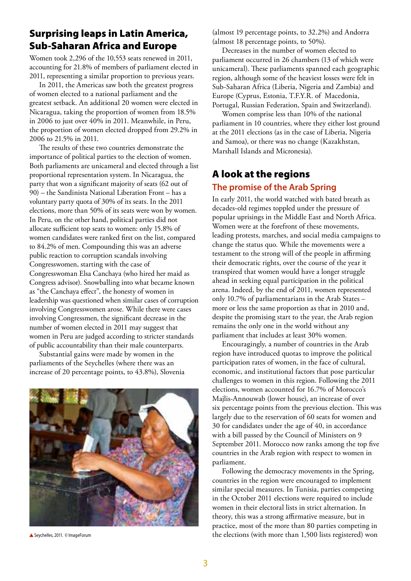## Surprising leaps in Latin America, Sub-Saharan Africa and Europe

Women took 2,296 of the 10,553 seats renewed in 2011, accounting for 21.8% of members of parliament elected in 2011, representing a similar proportion to previous years.

In 2011, the Americas saw both the greatest progress of women elected to a national parliament and the greatest setback. An additional 20 women were elected in Nicaragua, taking the proportion of women from 18.5% in 2006 to just over 40% in 2011. Meanwhile, in Peru, the proportion of women elected dropped from 29.2% in 2006 to 21.5% in 2011.

The results of these two countries demonstrate the importance of political parties to the election of women. Both parliaments are unicameral and elected through a list proportional representation system. In Nicaragua, the party that won a significant majority of seats (62 out of 90) – the Sandinista National Liberation Front – has a voluntary party quota of 30% of its seats. In the 2011 elections, more than 50% of its seats were won by women. In Peru, on the other hand, political parties did not allocate sufficient top seats to women: only 15.8% of women candidates were ranked first on the list, compared to 84.2% of men. Compounding this was an adverse public reaction to corruption scandals involving Congresswomen, starting with the case of Congresswoman Elsa Canchaya (who hired her maid as Congress advisor). Snowballing into what became known as "the Canchaya effect", the honesty of women in leadership was questioned when similar cases of corruption involving Congresswomen arose. While there were cases involving Congressmen, the significant decrease in the number of women elected in 2011 may suggest that women in Peru are judged according to stricter standards of public accountability than their male counterparts.

Substantial gains were made by women in the parliaments of the Seychelles (where there was an increase of 20 percentage points, to 43.8%), Slovenia



▲ Seychelles, 2011. © ImageForum

(almost 19 percentage points, to 32.2%) and Andorra (almost 18 percentage points, to 50%).

Decreases in the number of women elected to parliament occurred in 26 chambers (13 of which were unicameral). These parliaments spanned each geographic region, although some of the heaviest losses were felt in Sub-Saharan Africa (Liberia, Nigeria and Zambia) and Europe (Cyprus, Estonia, T.F.Y.R. of Macedonia, Portugal, Russian Federation, Spain and Switzerland).

Women comprise less than 10% of the national parliament in 10 countries, where they either lost ground at the 2011 elections (as in the case of Liberia, Nigeria and Samoa), or there was no change (Kazakhstan, Marshall Islands and Micronesia).

# A look at the regions

## **The promise of the Arab Spring**

In early 2011, the world watched with bated breath as decades-old regimes toppled under the pressure of popular uprisings in the Middle East and North Africa. Women were at the forefront of these movements, leading protests, marches, and social media campaigns to change the status quo. While the movements were a testament to the strong will of the people in affirming their democratic rights, over the course of the year it transpired that women would have a longer struggle ahead in seeking equal participation in the political arena. Indeed, by the end of 2011, women represented only 10.7% of parliamentarians in the Arab States – more or less the same proportion as that in 2010 and, despite the promising start to the year, the Arab region remains the only one in the world without any parliament that includes at least 30% women.

Encouragingly, a number of countries in the Arab region have introduced quotas to improve the political participation rates of women, in the face of cultural, economic, and institutional factors that pose particular challenges to women in this region. Following the 2011 elections, women accounted for 16.7% of Morocco's Majlis-Annouwab (lower house), an increase of over six percentage points from the previous election. This was largely due to the reservation of 60 seats for women and 30 for candidates under the age of 40, in accordance with a bill passed by the Council of Ministers on 9 September 2011. Morocco now ranks among the top five countries in the Arab region with respect to women in parliament.

Following the democracy movements in the Spring, countries in the region were encouraged to implement similar special measures. In Tunisia, parties competing in the October 2011 elections were required to include women in their electoral lists in strict alternation. In theory, this was a strong affirmative measure, but in practice, most of the more than 80 parties competing in the elections (with more than 1,500 lists registered) won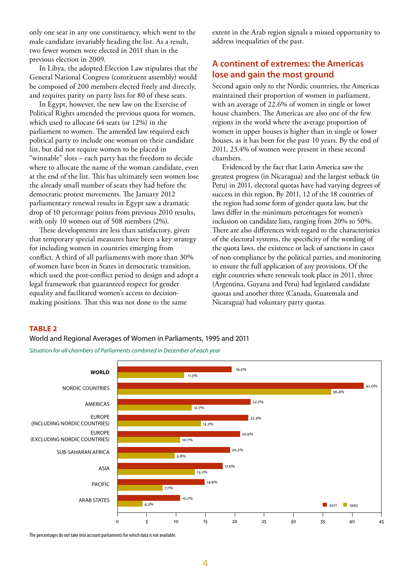only one seat in any one constituency, which went to the male candidate invariably heading the list. As a result, two fewer women were elected in 2011 than in the previous election in 2009.

In Libya, the adopted Election Law stipulates that the General National Congress (constituent assembly) would be composed of 200 members elected freely and directly, and requires parity on party lists for 80 of these seats.

In Egypt, however, the new law on the Exercise of Political Rights amended the previous quota for women, which used to allocate 64 seats (or 12%) in the parliament to women. The amended law required each political party to include one woman on their candidate list, but did not require women to be placed in "winnable" slots – each party has the freedom to decide where to allocate the name of the woman candidate, even at the end of the list. This has ultimately seen women lose the already small number of seats they had before the democratic protest movements. The January 2012 parliamentary renewal results in Egypt saw a dramatic drop of 10 percentage points from previous 2010 results, with only 10 women out of 508 members (2%).

These developments are less than satisfactory, given that temporary special measures have been a key strategy for including women in countries emerging from conflict. A third of all parliaments with more than 30% of women have been in States in democratic transition, which used the post-conflict period to design and adopt a legal framework that guaranteed respect for gender equality and facilitated women's access to decisionmaking positions. That this was not done to the same

extent in the Arab region signals a missed opportunity to address inequalities of the past.

## **A continent of extremes: the Americas lose and gain the most ground**

Second again only to the Nordic countries, the Americas maintained their proportion of women in parliament, with an average of 22.6% of women in single or lower house chambers. The Americas are also one of the few regions in the world where the average proportion of women in upper houses is higher than in single or lower houses, as it has been for the past 10 years. By the end of 2011, 23.4% of women were present in these second chambers.

Evidenced by the fact that Latin America saw the greatest progress (in Nicaragua) and the largest setback (in Peru) in 2011, electoral quotas have had varying degrees of success in this region. By 2011, 12 of the 18 countries of the region had some form of gender quota law, but the laws differ in the minimum percentages for women's inclusion on candidate lists, ranging from 20% to 50%. There are also differences with regard to the characteristics of the electoral systems, the specificity of the wording of the quota laws, the existence or lack of sanctions in cases of non-compliance by the political parties, and monitoring to ensure the full application of any provisions. Of the eight countries where renewals took place in 2011, three (Argentina, Guyana and Peru) had legislated candidate quotas and another three (Canada, Guatemala and Nicaragua) had voluntary party quotas.

#### **Table 2**

#### World and Regional Averages of Women in Parliaments, 1995 and 2011

*Situation for all chambers of Parliaments combined in December of each year*



The percentages do not take into account parliaments for which data is not available.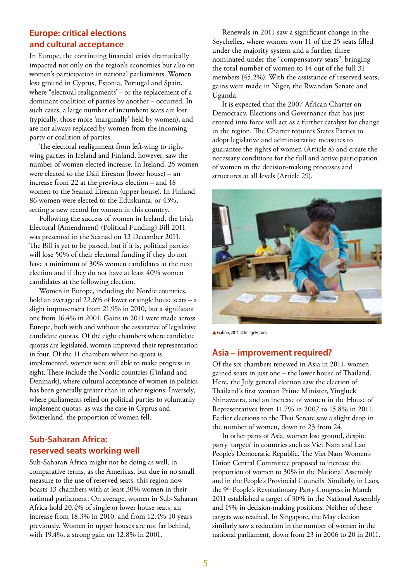## **Europe: critical elections and cultural acceptance**

In Europe, the continuing financial crisis dramatically impacted not only on the region's economies but also on women's participation in national parliaments. Women lost ground in Cyprus, Estonia, Portugal and Spain, where "electoral realignments"- or the replacement of a dominant coalition of parties by another – occurred. In such cases, a large number of incumbent seats are lost (typically, those more 'marginally' held by women), and are not always replaced by women from the incoming party or coalition of parties.

The electoral realignment from left-wing to rightwing parties in Ireland and Finland, however, saw the number of women elected increase. In Ireland, 25 women were elected to the Dáil Éireann (lower house) – an increase from 22 at the previous election – and 18 women to the Seanad Éireann (upper house). In Finland, 86 women were elected to the Eduskunta, or 43%, setting a new record for women in this country.

Following the success of women in Ireland, the Irish Electoral (Amendment) (Political Funding) Bill 2011 was presented in the Seanad on 12 December 2011. The Bill is yet to be passed, but if it is, political parties will lose 50% of their electoral funding if they do not have a minimum of 30% women candidates at the next election and if they do not have at least 40% women candidates at the following election.

Women in Europe, including the Nordic countries, hold an average of 22.6% of lower or single house seats – a slight improvement from 21.9% in 2010, but a significant one from 16.4% in 2001. Gains in 2011 were made across Europe, both with and without the assistance of legislative candidate quotas. Of the eight chambers where candidate quotas are legislated, women improved their representation in four. Of the 11 chambers where no quota is implemented, women were still able to make progress in eight. These include the Nordic countries (Finland and Denmark), where cultural acceptance of women in politics has been generally greater than in other regions. Inversely, where parliaments relied on political parties to voluntarily implement quotas, as was the case in Cyprus and Switzerland, the proportion of women fell.

## **Sub-Saharan Africa: reserved seats working well**

Sub-Saharan Africa might not be doing as well, in comparative terms, as the Americas, but due in no small measure to the use of reserved seats, this region now boasts 13 chambers with at least 30% women in their national parliament. On average, women in Sub-Saharan Africa hold 20.4% of single or lower house seats, an increase from 18.3% in 2010, and from 12.4% 10 years previously. Women in upper houses are not far behind, with 19.4%, a strong gain on 12.8% in 2001.

Renewals in 2011 saw a significant change in the Seychelles, where women won 11 of the 25 seats filled under the majority system and a further three nominated under the "compensatory seats", bringing the total number of women to 14 out of the full 31 members (45.2%). With the assistance of reserved seats, gains were made in Niger, the Rwandan Senate and Uganda.

It is expected that the 2007 African Charter on Democracy, Elections and Governance that has just entered into force will act as a further catalyst for change in the region. The Charter requires States Parties to adopt legislative and administrative measures to guarantee the rights of women (Article 8) and create the necessary conditions for the full and active participation of women in the decision-making processes and structures at all levels (Article 29).



▲ Gabon, 2011. © ImageForum

## **Asia – improvement required?**

Of the six chambers renewed in Asia in 2011, women gained seats in just one – the lower house of Thailand. Here, the July general election saw the election of Thailand's first woman Prime Minister, Yingluck Shinawatra, and an increase of women in the House of Representatives from 11.7% in 2007 to 15.8% in 2011. Earlier elections to the Thai Senate saw a slight drop in the number of women, down to 23 from 24.

In other parts of Asia, women lost ground, despite party 'targets' in countries such as Viet Nam and Lao People's Democratic Republic. The Viet Nam Women's Union Central Committee proposed to increase the proportion of women to 30% in the National Assembly and in the People's Provincial Councils. Similarly, in Laos, the 9<sup>th</sup> People's Revolutionary Party Congress in March 2011 established a target of 30% in the National Assembly and 15% in decision-making positions. Neither of these targets was reached. In Singapore, the May election similarly saw a reduction in the number of women in the national parliament, down from 23 in 2006 to 20 in 2011.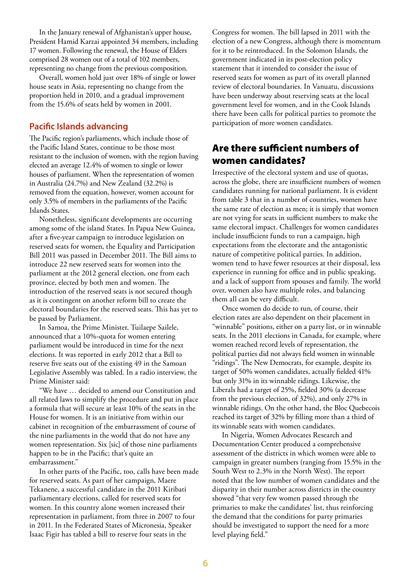In the January renewal of Afghanistan's upper house, President Hamid Karzai appointed 34 members, including 17 women. Following the renewal, the House of Elders comprised 28 women out of a total of 102 members, representing no change from the previous composition.

Overall, women hold just over 18% of single or lower house seats in Asia, representing no change from the proportion held in 2010, and a gradual improvement from the 15.6% of seats held by women in 2001.

#### **Pacific Islands advancing**

The Pacific region's parliaments, which include those of the Pacific Island States, continue to be those most resistant to the inclusion of women, with the region having elected an average 12.4% of women to single or lower houses of parliament. When the representation of women in Australia (24.7%) and New Zealand (32.2%) is removed from the equation, however, women account for only 3.5% of members in the parliaments of the Pacific Islands States.

Nonetheless, significant developments are occurring among some of the island States. In Papua New Guinea, after a five-year campaign to introduce legislation on reserved seats for women, the Equality and Participation Bill 2011 was passed in December 2011. The Bill aims to introduce 22 new reserved seats for women into the parliament at the 2012 general election, one from each province, elected by both men and women. The introduction of the reserved seats is not secured though as it is contingent on another reform bill to create the electoral boundaries for the reserved seats. This has yet to be passed by Parliament.

In Samoa, the Prime Minister, Tuilaepe Sailele, announced that a 10%-quota for women entering parliament would be introduced in time for the next elections. It was reported in early 2012 that a Bill to reserve five seats out of the existing 49 in the Samoan Legislative Assembly was tabled. In a radio interview, the Prime Minister said:

"We have … decided to amend our Constitution and all related laws to simplify the procedure and put in place a formula that will secure at least 10% of the seats in the House for women. It is an initiative from within our cabinet in recognition of the embarrassment of course of the nine parliaments in the world that do not have any women representation. Six [sic] of those nine parliaments happen to be in the Pacific; that's quite an embarrassment."

In other parts of the Pacific, too, calls have been made for reserved seats. As part of her campaign, Maere Tekanene, a successful candidate in the 2011 Kiribati parliamentary elections, called for reserved seats for women. In this country alone women increased their representation in parliament, from three in 2007 to four in 2011. In the Federated States of Micronesia, Speaker Isaac Figir has tabled a bill to reserve four seats in the

Congress for women. The bill lapsed in 2011 with the election of a new Congress, although there is momentum for it to be reintroduced. In the Solomon Islands, the government indicated in its post-election policy statement that it intended to consider the issue of reserved seats for women as part of its overall planned review of electoral boundaries. In Vanuatu, discussions have been underway about reserving seats at the local government level for women, and in the Cook Islands there have been calls for political parties to promote the participation of more women candidates.

## Are there sufficient numbers of women candidates?

Irrespective of the electoral system and use of quotas, across the globe, there are insufficient numbers of women candidates running for national parliament. It is evident from table 3 that in a number of countries, women have the same rate of election as men; it is simply that women are not vying for seats in sufficient numbers to make the same electoral impact. Challenges for women candidates include insufficient funds to run a campaign, high expectations from the electorate and the antagonistic nature of competitive political parties. In addition, women tend to have fewer resources at their disposal, less experience in running for office and in public speaking, and a lack of support from spouses and family. The world over, women also have multiple roles, and balancing them all can be very difficult.

Once women do decide to run, of course, their election rates are also dependent on their placement in "winnable" positions, either on a party list, or in winnable seats. In the 2011 elections in Canada, for example, where women reached record levels of representation, the political parties did not always field women in winnable "ridings". The New Democrats, for example, despite its target of 50% women candidates, actually fielded 41% but only 31% in its winnable ridings. Likewise, the Liberals had a target of 25%, fielded 30% (a decrease from the previous election, of 32%), and only 27% in winnable ridings. On the other hand, the Bloc Quebecois reached its target of 32% by filling more than a third of its winnable seats with women candidates.

In Nigeria, Women Advocates Research and Documentation Center produced a comprehensive assessment of the districts in which women were able to campaign in greater numbers (ranging from 15.5% in the South West to 2.3% in the North West). The report noted that the low number of women candidates and the disparity in their number across districts in the country showed "that very few women passed through the primaries to make the candidates' list, thus reinforcing the demand that the conditions for party primaries should be investigated to support the need for a more level playing field."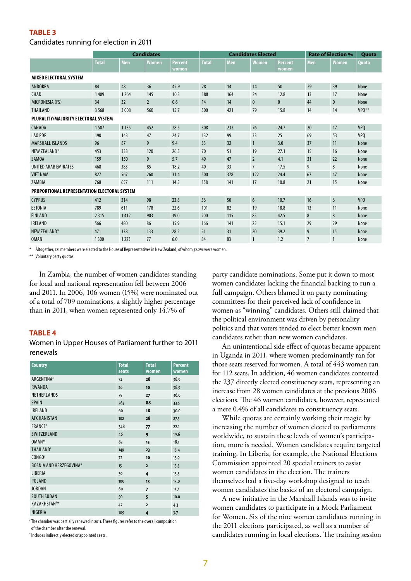#### **TABLE 3**

#### Candidates running for election in 2011

|                                              |              |         | <b>Candidates</b> |                | <b>Candidates Elected</b> |            |                 | <b>Rate of Election %</b> |                | Quota          |              |
|----------------------------------------------|--------------|---------|-------------------|----------------|---------------------------|------------|-----------------|---------------------------|----------------|----------------|--------------|
|                                              | <b>Total</b> | Men     | Women             | <b>Percent</b> | <b>Total</b>              | <b>Men</b> | <b>Women</b>    | <b>Percent</b>            | Men            | <b>Women</b>   | <b>Quota</b> |
|                                              |              |         |                   | women          |                           |            |                 | women                     |                |                |              |
| <b>MIXED ELECTORAL SYSTEM</b>                |              |         |                   |                |                           |            |                 |                           |                |                |              |
| ANDORRA                                      | 84           | 48      | 36                | 42.9           | 28                        | 14         | 14              | 50                        | 29             | 39             | None         |
| CHAD                                         | 1409         | 1264    | 145               | 10.3           | 188                       | 164        | 24              | 12.8                      | 13             | 17             | None         |
| MICRONESIA (FS)                              | 34           | 32      | $\overline{2}$    | 0.6            | 14                        | 14         | $\pmb{0}$       | $\bf{0}$                  | 44             | $\mathbf 0$    | None         |
| <b>THAILAND</b>                              | 3568         | 3 0 0 8 | 560               | 15.7           | 500                       | 421        | 79              | 15.8                      | 14             | 14             | VPO**        |
| PLURALITY/MAJORITY ELECTORAL SYSTEM          |              |         |                   |                |                           |            |                 |                           |                |                |              |
| CANADA                                       | 1587         | 1 1 3 5 | 452               | 28.5           | 308                       | 232        | 76              | 24.7                      | 20             | 17             | VPO          |
| <b>LAO PDR</b>                               | 190          | 143     | 47                | 24.7           | 132                       | 99         | 33              | 25                        | 69             | 53             | VPO          |
| <b>MARSHALL ISLANDS</b>                      | 96           | 87      | 9                 | 9.4            | 33                        | 32         | $\mathbf{1}$    | 3.0                       | 37             | 11             | None         |
| NEW ZEALAND*                                 | 453          | 333     | 120               | 26.5           | 70                        | 51         | 19              | 27.1                      | 15             | 16             | None         |
| <b>SAMOA</b>                                 | 159          | 150     | 9                 | 5.7            | 49                        | 47         | $\overline{2}$  | 4.1                       | 31             | 22             | None         |
| UNITED ARAB EMIRATES                         | 468          | 383     | 85                | 18.2           | 40                        | 33         | $\overline{7}$  | 17.5                      | 9              | 8              | None         |
| <b>VIET NAM</b>                              | 827          | 567     | 260               | 31.4           | 500                       | 378        | 122             | 24.4                      | 67             | 47             | None         |
| ZAMBIA                                       | 768          | 657     | 111               | 14.5           | 158                       | 141        | 17              | 10.8                      | 21             | 15             | None         |
| PROPORTIONAL REPRESENTATION ELECTORAL SYSTEM |              |         |                   |                |                           |            |                 |                           |                |                |              |
| <b>CYPRUS</b>                                | 412          | 314     | 98                | 23.8           | 56                        | 50         | $6\phantom{.}6$ | 10.7                      | 16             | $6\phantom{1}$ | VPO          |
| <b>ESTONIA</b>                               | 789          | 611     | 178               | 22.6           | 101                       | 82         | 19              | 18.8                      | 13             | 11             | None         |
| <b>FINLAND</b>                               | 2315         | 1412    | 903               | 39.0           | 200                       | 115        | 85              | 42.5                      | 8              | 8              | None         |
| <b>IRELAND</b>                               | 566          | 480     | 86                | 15.9           | 166                       | 141        | 25              | 15.1                      | 29             | 29             | None         |
| NEW ZEALAND*                                 | 471          | 338     | 133               | 28.2           | 51                        | 31         | 20              | 39.2                      | 9              | 15             | None         |
| <b>OMAN</b>                                  | 1300         | 1223    | 77                | 6.0            | 84                        | 83         | 1               | 1.2                       | $\overline{7}$ | $\mathbf{1}$   | None         |

Altogether, 121 members were elected to the House of Representatives in New Zealand, of whom 32.2% were women

\*\* Voluntary party quotas.

In Zambia, the number of women candidates standing for local and national representation fell between 2006 and 2011. In 2006, 106 women (15%) were nominated out of a total of 709 nominations, a slightly higher percentage than in 2011, when women represented only 14.7% of

#### **TABLE 4**

Women in Upper Houses of Parliament further to 2011 renewals

| <b>Country</b>                 | <b>Total</b><br>seats | <b>Total</b><br>women | <b>Percent</b><br>women |
|--------------------------------|-----------------------|-----------------------|-------------------------|
| ARGENTINA#                     | 72                    | 28                    | 38.9                    |
| <b>RWANDA</b>                  | 26                    | 10                    | 38.5                    |
| NETHERLANDS                    | 75                    | 27                    | 36.0                    |
| <b>SPAIN</b>                   | 263                   | 88                    | 33.5                    |
| <b>IRELAND</b>                 | 60                    | 18                    | 30.0                    |
| AFGHANISTAN                    | 102                   | 28                    | 27.5                    |
| <b>FRANCE</b> #                | 348                   | 77                    | 22.1                    |
| SWITZERLAND                    | 46                    | 9                     | 19.6                    |
| OMAN*                          | 83                    | 15                    | 18.1                    |
| <b>THAILAND#</b>               | 149                   | 23                    | 15.4                    |
| CONGO <sup>#</sup>             | 72                    | 10                    | 13.9                    |
| <b>BOSNIA AND HERZEGOVINA*</b> | 15                    | $\overline{2}$        | 13.3                    |
| LIBERIA                        | 30                    | 4                     | 13.3                    |
| <b>POLAND</b>                  | 100                   | 13                    | 13.0                    |
| <b>JORDAN</b>                  | 60                    | $\overline{z}$        | 11.7                    |
| <b>SOUTH SUDAN</b>             | 50                    | 5                     | 10.0                    |
| <b>KAZAKHSTAN</b> #*           | 47                    | $\overline{2}$        | 4.3                     |
| NIGERIA                        | 109                   | 4                     | 3.7                     |

# The chamber was partially renewed in 2011. These figures refer to the overall composition

of the chamber after the renewal.

\* Includes indirectly elected or appointed seats.

party candidate nominations. Some put it down to most women candidates lacking the financial backing to run a full campaign. Others blamed it on party nominating committees for their perceived lack of confidence in women as "winning" candidates. Others still claimed that the political environment was driven by personality politics and that voters tended to elect better known men candidates rather than new women candidates.

An unintentional side effect of quotas became apparent in Uganda in 2011, where women predominantly ran for those seats reserved for women. A total of 443 women ran for 112 seats. In addition, 46 women candidates contested the 237 directly elected constituency seats, representing an increase from 28 women candidates at the previous 2006 elections. The 46 women candidates, however, represented a mere 0.4% of all candidates to constituency seats.

While quotas are certainly working their magic by increasing the number of women elected to parliaments worldwide, to sustain these levels of women's participation, more is needed. Women candidates require targeted training. In Liberia, for example, the National Elections Commission appointed 20 special trainers to assist women candidates in the election. The trainers themselves had a five-day workshop designed to teach women candidates the basics of an electoral campaign.

A new initiative in the Marshall Islands was to invite women candidates to participate in a Mock Parliament for Women. Six of the nine women candidates running in the 2011 elections participated, as well as a number of candidates running in local elections. The training session